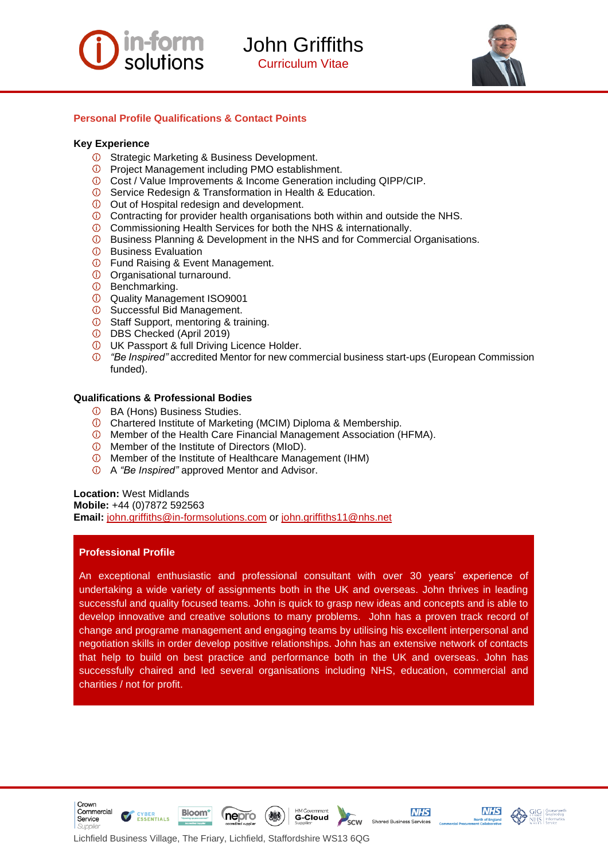

# **Form** John Griffiths

Curriculum Vitae



#### **Personal Profile Qualifications & Contact Points**

#### **Key Experience**

- *O* Strategic Marketing & Business Development.
- Project Management including PMO establishment.
- Cost / Value Improvements & Income Generation including QIPP/CIP.
- Service Redesign & Transformation in Health & Education.
- Out of Hospital redesign and development.
- Contracting for provider health organisations both within and outside the NHS.
- Commissioning Health Services for both the NHS & internationally.
- **1** Business Planning & Development in the NHS and for Commercial Organisations.
- *<b>D* Business Evaluation
- Fund Raising & Event Management.
- Organisational turnaround.
- $\Phi$  Benchmarking.
- Quality Management ISO9001
- Successful Bid Management.
- *O* Staff Support, mentoring & training.
- DBS Checked (April 2019)
- UK Passport & full Driving Licence Holder.
- *"Be Inspired"* accredited Mentor for new commercial business start-ups (European Commission funded).

#### **Qualifications & Professional Bodies**

- BA (Hons) Business Studies.
- Chartered Institute of Marketing (MCIM) Diploma & Membership.
- Member of the Health Care Financial Management Association (HFMA).
- Member of the Institute of Directors (MIoD).
- Member of the Institute of Healthcare Management (IHM)
- A *"Be Inspired"* approved Mentor and Advisor.

#### **Location:** West Midlands

**Mobile:** +44 (0)7872 592563

**Email:** [john.griffiths@in-formsolutions.com](mailto:john.griffiths@in-formsolutions.com) or [john.griffiths11@nhs.net](mailto:john.griffiths11@nhs.net)

#### **Professional Profile**

Crown Commercial

Service

An exceptional enthusiastic and professional consultant with over 30 years' experience of undertaking a wide variety of assignments both in the UK and overseas. John thrives in leading successful and quality focused teams. John is quick to grasp new ideas and concepts and is able to develop innovative and creative solutions to many problems. John has a proven track record of change and programe management and engaging teams by utilising his excellent interpersonal and negotiation skills in order develop positive relationships. John has an extensive network of contacts that help to build on best practice and performance both in the UK and overseas. John has successfully chaired and led several organisations including NHS, education, commercial and charities / not for profit.

**G-Cloud** 

scw

**NHS** 

Shared Business Services

**NHS** 

Lichfield Business Village, The Friary, Lichfield, Staffordshire WS13 6QG

**nepro** 

**Bloom** 

**ESSENTIALS**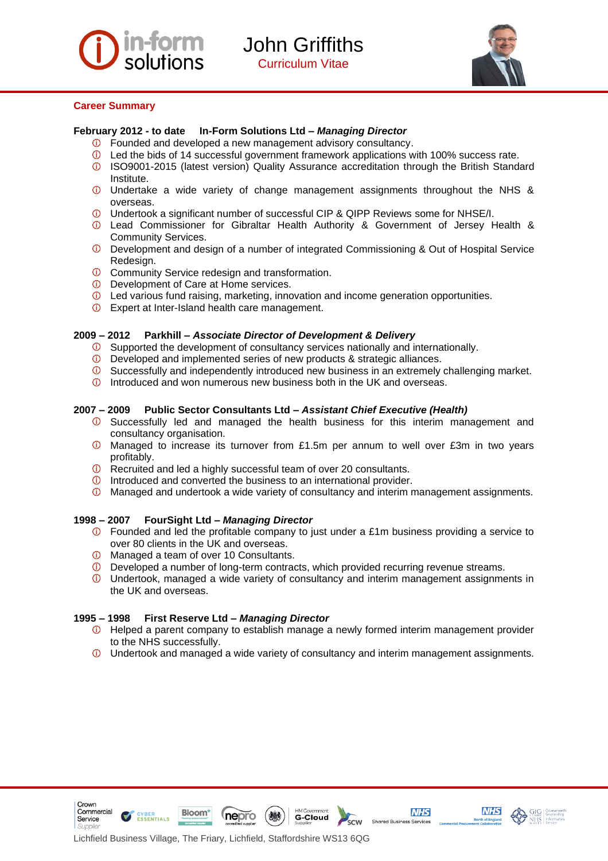



#### **Career Summary**

#### **February 2012 - to date In-Form Solutions Ltd –** *Managing Director*

- Founded and developed a new management advisory consultancy.
- Led the bids of 14 successful government framework applications with 100% success rate.
- ISO9001-2015 (latest version) Quality Assurance accreditation through the British Standard Institute.
- Undertake a wide variety of change management assignments throughout the NHS & overseas.
- Undertook a significant number of successful CIP & QIPP Reviews some for NHSE/I.
- Lead Commissioner for Gibraltar Health Authority & Government of Jersey Health & Community Services.
- Development and design of a number of integrated Commissioning & Out of Hospital Service Redesign.
- *C* Community Service redesign and transformation.
- **D** Development of Care at Home services.
- Led various fund raising, marketing, innovation and income generation opportunities.
- Expert at Inter-Island health care management.

#### **2009 – 2012 Parkhill –** *Associate Director of Development & Delivery*

- $\circled{1}$  Supported the development of consultancy services nationally and internationally.
- Developed and implemented series of new products & strategic alliances.
- Successfully and independently introduced new business in an extremely challenging market.
- $\circled{1}$  Introduced and won numerous new business both in the UK and overseas.

#### **2007 – 2009 Public Sector Consultants Ltd –** *Assistant Chief Executive (Health)*

- $\circled{1}$  Successfully led and managed the health business for this interim management and consultancy organisation.
- $\overline{O}$  Managed to increase its turnover from £1.5m per annum to well over £3m in two years profitably.
- $\overline{0}$  Recruited and led a highly successful team of over 20 consultants.
- $\overline{0}$  Introduced and converted the business to an international provider.
- Managed and undertook a wide variety of consultancy and interim management assignments.

#### **1998 – 2007 FourSight Ltd –** *Managing Director*

- Founded and led the profitable company to just under a £1m business providing a service to over 80 clients in the UK and overseas.
- Managed a team of over 10 Consultants.
- $\Phi$  Developed a number of long-term contracts, which provided recurring revenue streams.
- Undertook, managed a wide variety of consultancy and interim management assignments in the UK and overseas.

#### **1995 – 1998 First Reserve Ltd –** *Managing Director*

**Bloom** 

**ESSENTIALS** 

Crown

Service

Commercial

- $\circled{1}$  Helped a parent company to establish manage a newly formed interim management provider to the NHS successfully.
- Undertook and managed a wide variety of consultancy and interim management assignments.

**G-Cloud** 

.<br>scw





**NHS** 

Shared Business Services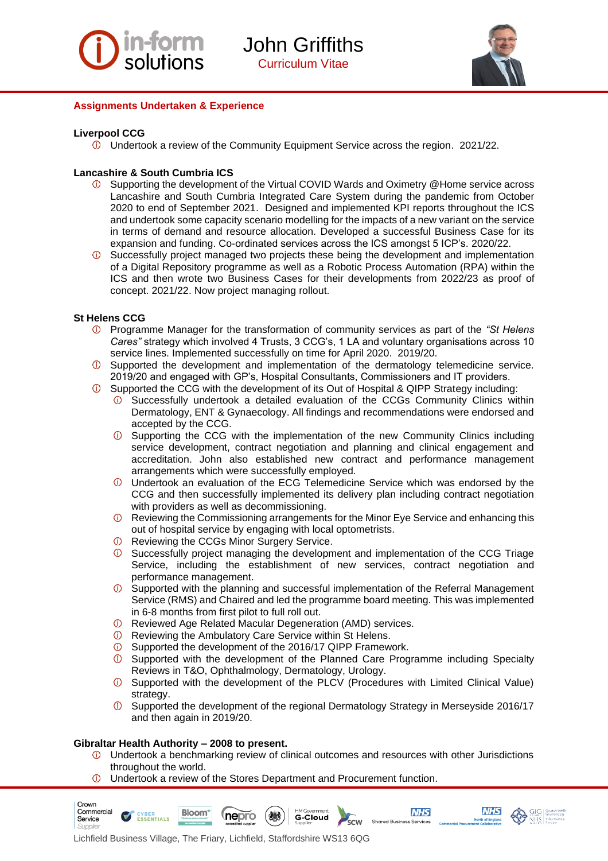



#### **Assignments Undertaken & Experience**

#### **Liverpool CCG**

Undertook a review of the Community Equipment Service across the region. 2021/22.

#### **Lancashire & South Cumbria ICS**

- Supporting the development of the Virtual COVID Wards and Oximetry @Home service across Lancashire and South Cumbria Integrated Care System during the pandemic from October 2020 to end of September 2021. Designed and implemented KPI reports throughout the ICS and undertook some capacity scenario modelling for the impacts of a new variant on the service in terms of demand and resource allocation. Developed a successful Business Case for its expansion and funding. Co-ordinated services across the ICS amongst 5 ICP's. 2020/22.
- Successfully project managed two projects these being the development and implementation  $\circledcirc$ of a Digital Repository programme as well as a Robotic Process Automation (RPA) within the ICS and then wrote two Business Cases for their developments from 2022/23 as proof of concept. 2021/22. Now project managing rollout.

#### **St Helens CCG**

- Programme Manager for the transformation of community services as part of the *"St Helens Cares"* strategy which involved 4 Trusts, 3 CCG's, 1 LA and voluntary organisations across 10 service lines. Implemented successfully on time for April 2020. 2019/20.
- Supported the development and implementation of the dermatology telemedicine service. 2019/20 and engaged with GP's, Hospital Consultants, Commissioners and IT providers.
- Supported the CCG with the development of its Out of Hospital & QIPP Strategy including:
	- Successfully undertook a detailed evaluation of the CCGs Community Clinics within Dermatology, ENT & Gynaecology. All findings and recommendations were endorsed and accepted by the CCG.
	- Supporting the CCG with the implementation of the new Community Clinics including service development, contract negotiation and planning and clinical engagement and accreditation. John also established new contract and performance management arrangements which were successfully employed.
	- Undertook an evaluation of the ECG Telemedicine Service which was endorsed by the CCG and then successfully implemented its delivery plan including contract negotiation with providers as well as decommissioning.
	- $\overline{O}$  Reviewing the Commissioning arrangements for the Minor Eye Service and enhancing this out of hospital service by engaging with local optometrists.
	- *O* Reviewing the CCGs Minor Surgery Service.
	- Successfully project managing the development and implementation of the CCG Triage Service, including the establishment of new services, contract negotiation and performance management.
	- Supported with the planning and successful implementation of the Referral Management Service (RMS) and Chaired and led the programme board meeting. This was implemented in 6-8 months from first pilot to full roll out.
	- Reviewed Age Related Macular Degeneration (AMD) services.
	- Reviewing the Ambulatory Care Service within St Helens.
	- Supported the development of the 2016/17 QIPP Framework.
	- **C** Supported with the development of the Planned Care Programme including Specialty Reviews in T&O, Ophthalmology, Dermatology, Urology.
	- Supported with the development of the PLCV (Procedures with Limited Clinical Value) strategy.
	- Supported the development of the regional Dermatology Strategy in Merseyside 2016/17 and then again in 2019/20.

#### **Gibraltar Health Authority – 2008 to present.**

Crown Commercial

- $\circledcirc$ Undertook a benchmarking review of clinical outcomes and resources with other Jurisdictions throughout the world.
- $\circledcirc$ Undertook a review of the Stores Department and Procurement function.



**Bloom'** 



**NHS** 

Shared Business Services

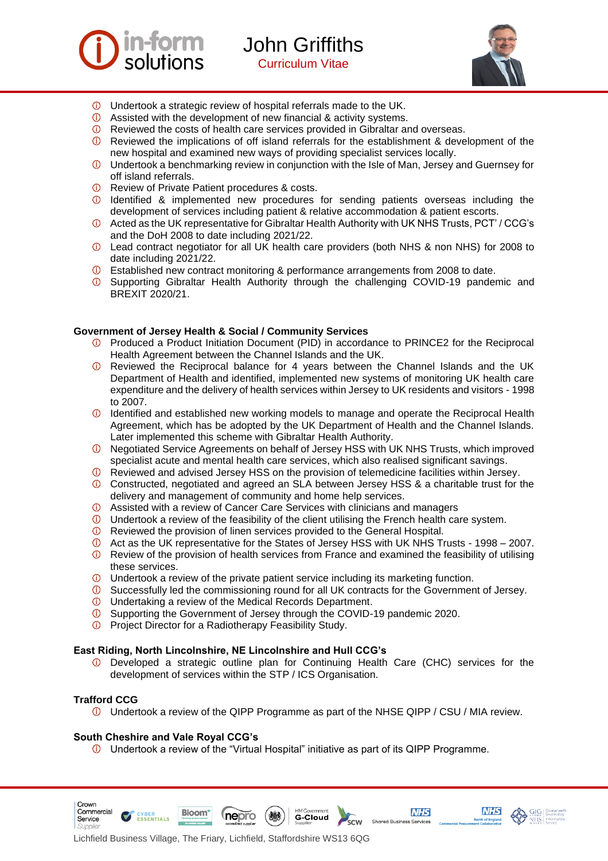



- Undertook a strategic review of hospital referrals made to the UK.
- Assisted with the development of new financial & activity systems.
- Reviewed the costs of health care services provided in Gibraltar and overseas.
- Reviewed the implications of off island referrals for the establishment & development of the new hospital and examined new ways of providing specialist services locally.
- Undertook a benchmarking review in conjunction with the Isle of Man, Jersey and Guernsey for off island referrals.
- *O* Review of Private Patient procedures & costs.
- $<sup>1</sup>$  Identified & implemented new procedures for sending patients overseas including the</sup> development of services including patient & relative accommodation & patient escorts.
- Acted as the UK representative for Gibraltar Health Authority with UK NHS Trusts, PCT' / CCG's and the DoH 2008 to date including 2021/22.
- Lead contract negotiator for all UK health care providers (both NHS & non NHS) for 2008 to date including 2021/22.
- Established new contract monitoring & performance arrangements from 2008 to date.
- Supporting Gibraltar Health Authority through the challenging COVID-19 pandemic and BREXIT 2020/21.

#### **Government of Jersey Health & Social / Community Services**

- Produced a Product Initiation Document (PID) in accordance to PRINCE2 for the Reciprocal Health Agreement between the Channel Islands and the UK.
- $\circ$ Reviewed the Reciprocal balance for 4 years between the Channel Islands and the UK Department of Health and identified, implemented new systems of monitoring UK health care expenditure and the delivery of health services within Jersey to UK residents and visitors - 1998 to 2007.
- $\circledcirc$ Identified and established new working models to manage and operate the Reciprocal Health Agreement, which has be adopted by the UK Department of Health and the Channel Islands. Later implemented this scheme with Gibraltar Health Authority.
- Negotiated Service Agreements on behalf of Jersey HSS with UK NHS Trusts, which improved specialist acute and mental health care services, which also realised significant savings.
- Reviewed and advised Jersey HSS on the provision of telemedicine facilities within Jersey.
- Constructed, negotiated and agreed an SLA between Jersey HSS & a charitable trust for the delivery and management of community and home help services.
- $\Phi$  Assisted with a review of Cancer Care Services with clinicians and managers
- $\mathbb O$  Undertook a review of the feasibility of the client utilising the French health care system.
- Reviewed the provision of linen services provided to the General Hospital.
- Act as the UK representative for the States of Jersey HSS with UK NHS Trusts 1998 2007.
- $\Phi$  Review of the provision of health services from France and examined the feasibility of utilising these services.
- Undertook a review of the private patient service including its marketing function.
- Successfully led the commissioning round for all UK contracts for the Government of Jersey.
- Undertaking a review of the Medical Records Department.
- Supporting the Government of Jersey through the COVID-19 pandemic 2020.
- $\circ$ Project Director for a Radiotherapy Feasibility Study.

#### **East Riding, North Lincolnshire, NE Lincolnshire and Hull CCG's**

 $\circledcirc$ Developed a strategic outline plan for Continuing Health Care (CHC) services for the development of services within the STP / ICS Organisation.

#### **Trafford CCG**

Crown Commercial

Service

Undertook a review of the QIPP Programme as part of the NHSE QIPP / CSU / MIA review.

G-Cloud

scw

**NHS** 

Shared Business Services

**NHS** 

#### **South Cheshire and Vale Royal CCG's**

**ESSENTIALS** 

 $\overline{0}$  Undertook a review of the "Virtual Hospital" initiative as part of its QIPP Programme.



(nepro

**Bloom**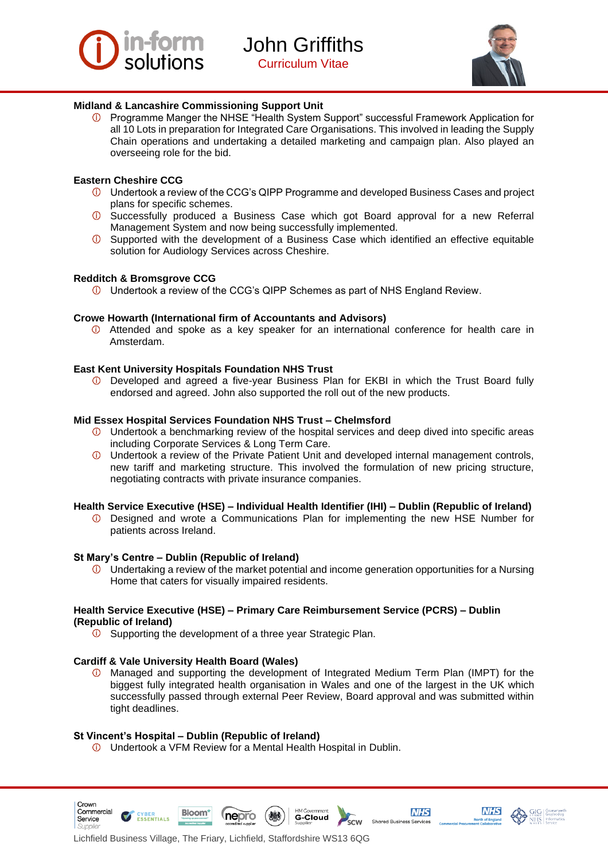



#### **Midland & Lancashire Commissioning Support Unit**

Programme Manger the NHSE "Health System Support" successful Framework Application for all 10 Lots in preparation for Integrated Care Organisations. This involved in leading the Supply Chain operations and undertaking a detailed marketing and campaign plan. Also played an overseeing role for the bid.

#### **Eastern Cheshire CCG**

- Undertook a review of the CCG's QIPP Programme and developed Business Cases and project plans for specific schemes.
- **1** Successfully produced a Business Case which got Board approval for a new Referral Management System and now being successfully implemented.
- Supported with the development of a Business Case which identified an effective equitable solution for Audiology Services across Cheshire.

#### **Redditch & Bromsgrove CCG**

Undertook a review of the CCG's QIPP Schemes as part of NHS England Review.

#### **Crowe Howarth (International firm of Accountants and Advisors)**

Attended and spoke as a key speaker for an international conference for health care in Amsterdam.

#### **East Kent University Hospitals Foundation NHS Trust**

Developed and agreed a five-year Business Plan for EKBI in which the Trust Board fully endorsed and agreed. John also supported the roll out of the new products.

#### **Mid Essex Hospital Services Foundation NHS Trust – Chelmsford**

- Undertook a benchmarking review of the hospital services and deep dived into specific areas including Corporate Services & Long Term Care.
- Undertook a review of the Private Patient Unit and developed internal management controls, new tariff and marketing structure. This involved the formulation of new pricing structure, negotiating contracts with private insurance companies.

#### **Health Service Executive (HSE) – Individual Health Identifier (IHI) – Dublin (Republic of Ireland)**

Designed and wrote a Communications Plan for implementing the new HSE Number for patients across Ireland.

#### **St Mary's Centre – Dublin (Republic of Ireland)**

Undertaking a review of the market potential and income generation opportunities for a Nursing ⋒. Home that caters for visually impaired residents.

#### **Health Service Executive (HSE) – Primary Care Reimbursement Service (PCRS) – Dublin (Republic of Ireland)**

 $\overline{0}$  Supporting the development of a three year Strategic Plan.

# **Cardiff & Vale University Health Board (Wales)**<br> **1** Managed and supporting the development

Managed and supporting the development of Integrated Medium Term Plan (IMPT) for the biggest fully integrated health organisation in Wales and one of the largest in the UK which successfully passed through external Peer Review, Board approval and was submitted within tight deadlines.

**G-Cloud** 

.<br>scw

**NHS** 

Shared Business Services

**NHS** 

#### **St Vincent's Hospital – Dublin (Republic of Ireland)**

**Bloom** 

**ESSENTIALS** 

Crown Commercial

Service

Undertook a VFM Review for a Mental Health Hospital in Dublin.

nepro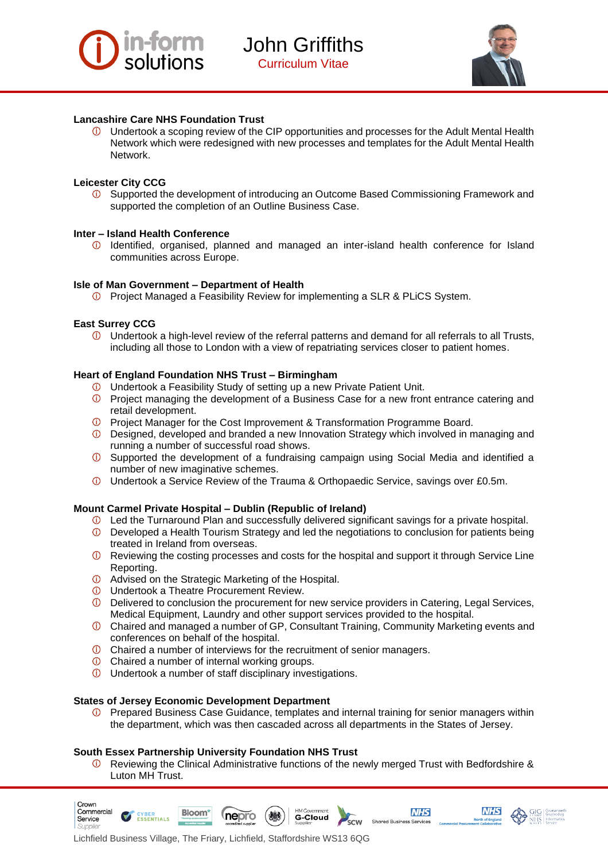



#### **Lancashire Care NHS Foundation Trust**

Undertook a scoping review of the CIP opportunities and processes for the Adult Mental Health  $\circ$ Network which were redesigned with new processes and templates for the Adult Mental Health Network.

#### **Leicester City CCG**

 $\circledcirc$ Supported the development of introducing an Outcome Based Commissioning Framework and supported the completion of an Outline Business Case.

#### **Inter – Island Health Conference**

Identified, organised, planned and managed an inter-island health conference for Island communities across Europe.

#### **Isle of Man Government – Department of Health**

Project Managed a Feasibility Review for implementing a SLR & PLiCS System.

#### **East Surrey CCG**

Crown Commercial

Service

Undertook a high-level review of the referral patterns and demand for all referrals to all Trusts, including all those to London with a view of repatriating services closer to patient homes.

#### **Heart of England Foundation NHS Trust – Birmingham**

- Undertook a Feasibility Study of setting up a new Private Patient Unit.
- Project managing the development of a Business Case for a new front entrance catering and retail development.
- **D** Project Manager for the Cost Improvement & Transformation Programme Board.
- **D** Designed, developed and branded a new Innovation Strategy which involved in managing and running a number of successful road shows.
- Supported the development of a fundraising campaign using Social Media and identified a number of new imaginative schemes.
- Undertook a Service Review of the Trauma & Orthopaedic Service, savings over £0.5m.

#### **Mount Carmel Private Hospital – Dublin (Republic of Ireland)**

- Led the Turnaround Plan and successfully delivered significant savings for a private hospital.
- $\Phi$  Developed a Health Tourism Strategy and led the negotiations to conclusion for patients being treated in Ireland from overseas.
- **1** Reviewing the costing processes and costs for the hospital and support it through Service Line Reporting.
- Advised on the Strategic Marketing of the Hospital.
- Undertook a Theatre Procurement Review.
- $\circledcirc$ Delivered to conclusion the procurement for new service providers in Catering, Legal Services, Medical Equipment, Laundry and other support services provided to the hospital.
- Chaired and managed a number of GP, Consultant Training, Community Marketing events and conferences on behalf of the hospital.
- $\overline{0}$  Chaired a number of interviews for the recruitment of senior managers.
- Chaired a number of internal working groups.
- Undertook a number of staff disciplinary investigations.

#### **States of Jersey Economic Development Department**

**Bloom** 

ESSENTIALS

**D** Prepared Business Case Guidance, templates and internal training for senior managers within the department, which was then cascaded across all departments in the States of Jersey.

#### **South Essex Partnership University Foundation NHS Trust**

Reviewing the Clinical Administrative functions of the newly merged Trust with Bedfordshire &  $\circ$ Luton MH Trust.

HM Governmer

G-Cloud

r<br>scw

**NHS** 

Shared Business Services

**NHS** 



(nepro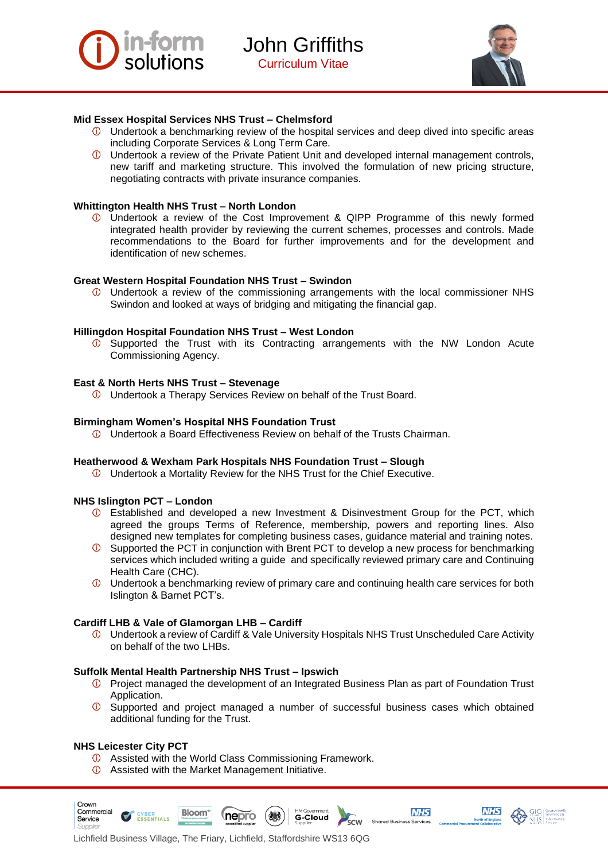



#### **Mid Essex Hospital Services NHS Trust – Chelmsford**

- $\mathbb O$  Undertook a benchmarking review of the hospital services and deep dived into specific areas including Corporate Services & Long Term Care.
- Undertook a review of the Private Patient Unit and developed internal management controls, new tariff and marketing structure. This involved the formulation of new pricing structure, negotiating contracts with private insurance companies.

#### **Whittington Health NHS Trust – North London**

Undertook a review of the Cost Improvement & QIPP Programme of this newly formed integrated health provider by reviewing the current schemes, processes and controls. Made recommendations to the Board for further improvements and for the development and identification of new schemes.

#### **Great Western Hospital Foundation NHS Trust – Swindon**

Undertook a review of the commissioning arrangements with the local commissioner NHS Swindon and looked at ways of bridging and mitigating the financial gap.

#### **Hillingdon Hospital Foundation NHS Trust – West London**

 $\overline{O}$  Supported the Trust with its Contracting arrangements with the NW London Acute Commissioning Agency.

#### **East & North Herts NHS Trust – Stevenage**

Undertook a Therapy Services Review on behalf of the Trust Board.

#### **Birmingham Women's Hospital NHS Foundation Trust**

Undertook a Board Effectiveness Review on behalf of the Trusts Chairman.

#### **Heatherwood & Wexham Park Hospitals NHS Foundation Trust – Slough**

Undertook a Mortality Review for the NHS Trust for the Chief Executive.

#### **NHS Islington PCT – London**

- Established and developed a new Investment & Disinvestment Group for the PCT, which agreed the groups Terms of Reference, membership, powers and reporting lines. Also designed new templates for completing business cases, guidance material and training notes.
- Supported the PCT in conjunction with Brent PCT to develop a new process for benchmarking services which included writing a guide and specifically reviewed primary care and Continuing Health Care (CHC).
- $<sup>①</sup>$  Undertook a benchmarking review of primary care and continuing health care services for both</sup> Islington & Barnet PCT's.

#### **Cardiff LHB & Vale of Glamorgan LHB – Cardiff**

Undertook a review of Cardiff & Vale University Hospitals NHS Trust Unscheduled Care Activity on behalf of the two LHBs.

#### **Suffolk Mental Health Partnership NHS Trust – Ipswich**

- Project managed the development of an Integrated Business Plan as part of Foundation Trust Application.
- $<sup>①</sup>$  Supported and project managed a number of successful business cases which obtained</sup> additional funding for the Trust.

G-Cloud

r<br>scw

**NHS** 

Shared Business Services

**NHS** 

#### **NHS Leicester City PCT**

Crown

- Assisted with the World Class Commissioning Framework.
- Assisted with the Market Management Initiative.





*Inepro*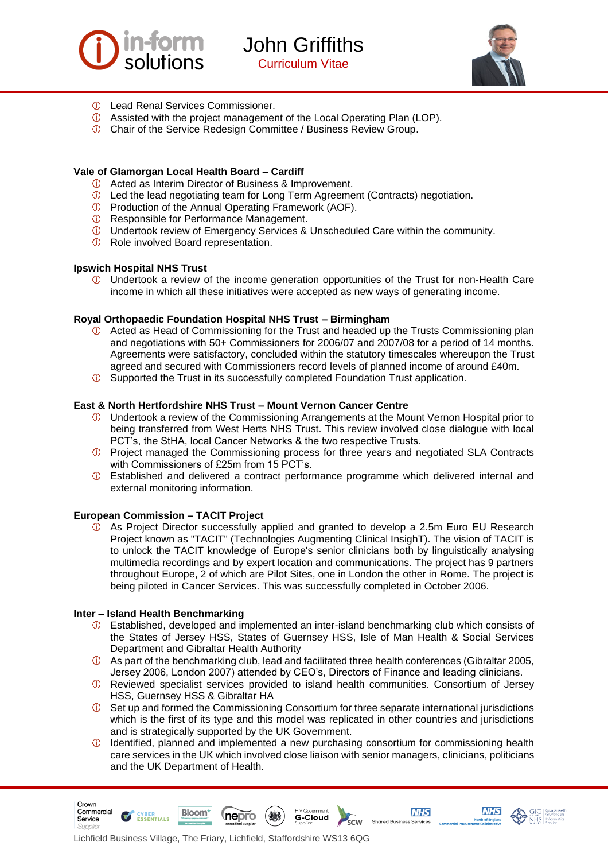



- Lead Renal Services Commissioner.
- Assisted with the project management of the Local Operating Plan (LOP).
- Chair of the Service Redesign Committee / Business Review Group.

#### **Vale of Glamorgan Local Health Board – Cardiff**

- Acted as Interim Director of Business & Improvement.
- Led the lead negotiating team for Long Term Agreement (Contracts) negotiation.
- Production of the Annual Operating Framework (AOF).
- *O* Responsible for Performance Management.
- Undertook review of Emergency Services & Unscheduled Care within the community.
- *O* Role involved Board representation.

#### **Ipswich Hospital NHS Trust**

Undertook a review of the income generation opportunities of the Trust for non-Health Care income in which all these initiatives were accepted as new ways of generating income.

#### **Royal Orthopaedic Foundation Hospital NHS Trust – Birmingham**

- $\Phi$  Acted as Head of Commissioning for the Trust and headed up the Trusts Commissioning plan and negotiations with 50+ Commissioners for 2006/07 and 2007/08 for a period of 14 months. Agreements were satisfactory, concluded within the statutory timescales whereupon the Trust agreed and secured with Commissioners record levels of planned income of around £40m.
- $\circled{1}$  Supported the Trust in its successfully completed Foundation Trust application.

#### **East & North Hertfordshire NHS Trust – Mount Vernon Cancer Centre**

- Undertook a review of the Commissioning Arrangements at the Mount Vernon Hospital prior to being transferred from West Herts NHS Trust. This review involved close dialogue with local PCT's, the StHA, local Cancer Networks & the two respective Trusts.
- **T** Project managed the Commissioning process for three years and negotiated SLA Contracts with Commissioners of £25m from 15 PCT's.
- Established and delivered a contract performance programme which delivered internal and external monitoring information.

#### **European Commission – TACIT Project**

As Project Director successfully applied and granted to develop a 2.5m Euro EU Research  $\circ$ Project known as "TACIT" (Technologies Augmenting Clinical InsighT). The vision of TACIT is to unlock the TACIT knowledge of Europe's senior clinicians both by linguistically analysing multimedia recordings and by expert location and communications. The project has 9 partners throughout Europe, 2 of which are Pilot Sites, one in London the other in Rome. The project is being piloted in Cancer Services. This was successfully completed in October 2006.

#### **Inter – Island Health Benchmarking**

Crown

- Established, developed and implemented an inter-island benchmarking club which consists of the States of Jersey HSS, States of Guernsey HSS, Isle of Man Health & Social Services Department and Gibraltar Health Authority
- As part of the benchmarking club, lead and facilitated three health conferences (Gibraltar 2005, Jersey 2006, London 2007) attended by CEO's, Directors of Finance and leading clinicians.
- Reviewed specialist services provided to island health communities. Consortium of Jersey HSS, Guernsey HSS & Gibraltar HA
- $\circledcirc$ Set up and formed the Commissioning Consortium for three separate international jurisdictions which is the first of its type and this model was replicated in other countries and jurisdictions and is strategically supported by the UK Government.
- Identified, planned and implemented a new purchasing consortium for commissioning health  $\circledcirc$ care services in the UK which involved close liaison with senior managers, clinicians, politicians and the UK Department of Health.

**NHS** 

**NHS** 

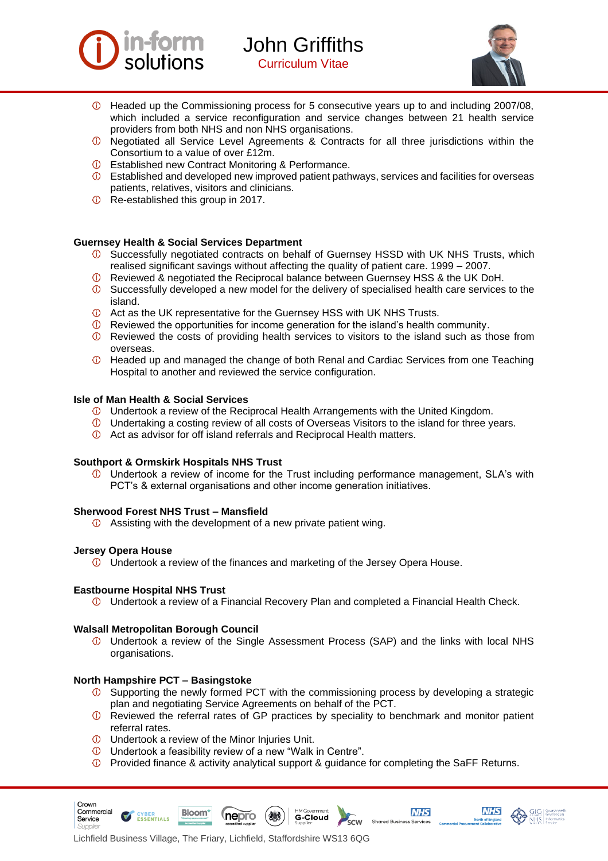



- Headed up the Commissioning process for 5 consecutive years up to and including 2007/08, which included a service reconfiguration and service changes between 21 health service providers from both NHS and non NHS organisations.
- Negotiated all Service Level Agreements & Contracts for all three jurisdictions within the Consortium to a value of over £12m.
- Established new Contract Monitoring & Performance.
- $\circled{1}$  Established and developed new improved patient pathways, services and facilities for overseas patients, relatives, visitors and clinicians.
- **D** Re-established this group in 2017.

#### **Guernsey Health & Social Services Department**

- Successfully negotiated contracts on behalf of Guernsey HSSD with UK NHS Trusts, which realised significant savings without affecting the quality of patient care. 1999 – 2007.
- Reviewed & negotiated the Reciprocal balance between Guernsey HSS & the UK DoH.
- $\circled{1}$  Successfully developed a new model for the delivery of specialised health care services to the island.
- Act as the UK representative for the Guernsey HSS with UK NHS Trusts.
- $\Phi$  Reviewed the opportunities for income generation for the island's health community.
- **1** Reviewed the costs of providing health services to visitors to the island such as those from overseas.
- Headed up and managed the change of both Renal and Cardiac Services from one Teaching Hospital to another and reviewed the service configuration.

#### **Isle of Man Health & Social Services**

- Undertook a review of the Reciprocal Health Arrangements with the United Kingdom.
- Undertaking a costing review of all costs of Overseas Visitors to the island for three years.
- Act as advisor for off island referrals and Reciprocal Health matters.

#### **Southport & Ormskirk Hospitals NHS Trust**

Undertook a review of income for the Trust including performance management, SLA's with PCT's & external organisations and other income generation initiatives.

#### **Sherwood Forest NHS Trust – Mansfield**

Assisting with the development of a new private patient wing.

#### **Jersey Opera House**

Crown Commercial

Service

 $\overline{0}$  Undertook a review of the finances and marketing of the Jersey Opera House.

#### **Eastbourne Hospital NHS Trust**

 $\overline{0}$  Undertook a review of a Financial Recovery Plan and completed a Financial Health Check.

#### **Walsall Metropolitan Borough Council**

Undertook a review of the Single Assessment Process (SAP) and the links with local NHS organisations.

#### **North Hampshire PCT – Basingstoke**

**ESSENTIALS** 

- $\circled{1}$  Supporting the newly formed PCT with the commissioning process by developing a strategic plan and negotiating Service Agreements on behalf of the PCT.
- $\overline{O}$  Reviewed the referral rates of GP practices by speciality to benchmark and monitor patient referral rates.
- Undertook a review of the Minor Injuries Unit.

**Bloom** 

- Undertook a feasibility review of a new "Walk in Centre".
- Provided finance & activity analytical support & guidance for completing the SaFF Returns.

**G-Cloud** 

.<br>scw

**NHS** 

Shared Business Services

**NHS** 



*nepro*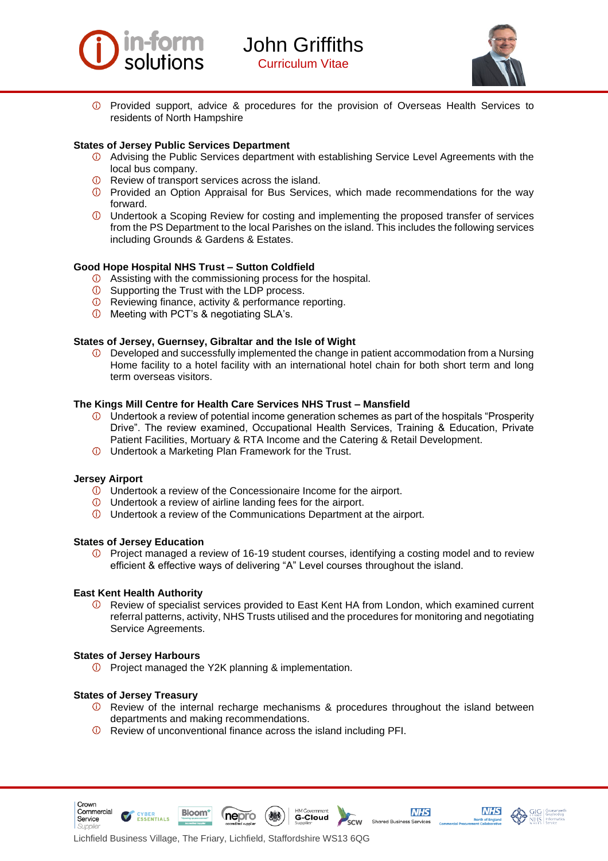



*O* Provided support, advice & procedures for the provision of Overseas Health Services to residents of North Hampshire

#### **States of Jersey Public Services Department**

- Advising the Public Services department with establishing Service Level Agreements with the local bus company.
- *O* Review of transport services across the island.
- Provided an Option Appraisal for Bus Services, which made recommendations for the way forward.
- Undertook a Scoping Review for costing and implementing the proposed transfer of services from the PS Department to the local Parishes on the island. This includes the following services including Grounds & Gardens & Estates.

#### **Good Hope Hospital NHS Trust – Sutton Coldfield**

- Assisting with the commissioning process for the hospital.
- **E** Supporting the Trust with the LDP process.
- Reviewing finance, activity & performance reporting.
- Meeting with PCT's & negotiating SLA's.

#### **States of Jersey, Guernsey, Gibraltar and the Isle of Wight**

 $\circled{1}$  Developed and successfully implemented the change in patient accommodation from a Nursing Home facility to a hotel facility with an international hotel chain for both short term and long term overseas visitors.

#### **The Kings Mill Centre for Health Care Services NHS Trust – Mansfield**

- $\mathbb O$  Undertook a review of potential income generation schemes as part of the hospitals "Prosperity" Drive". The review examined, Occupational Health Services, Training & Education, Private Patient Facilities, Mortuary & RTA Income and the Catering & Retail Development.
- Undertook a Marketing Plan Framework for the Trust.

#### **Jersey Airport**

- Undertook a review of the Concessionaire Income for the airport.
- Undertook a review of airline landing fees for the airport.
- Undertook a review of the Communications Department at the airport.

#### **States of Jersey Education**

 $\circled{1}$  Project managed a review of 16-19 student courses, identifying a costing model and to review efficient & effective ways of delivering "A" Level courses throughout the island.

#### **East Kent Health Authority**

Review of specialist services provided to East Kent HA from London, which examined current referral patterns, activity, NHS Trusts utilised and the procedures for monitoring and negotiating Service Agreements.

#### **States of Jersey Harbours**

**D** Project managed the Y2K planning & implementation.

#### **States of Jersey Treasury**

**ESSENTIALS** 

Crown Commercial

Service

Review of the internal recharge mechanisms & procedures throughout the island between departments and making recommendations.

**G-Cloud** 

.<br>scw

**NHS** 

Shared Business Services

**NHS** 

Review of unconventional finance across the island including PFI.

nepro

**Bloom**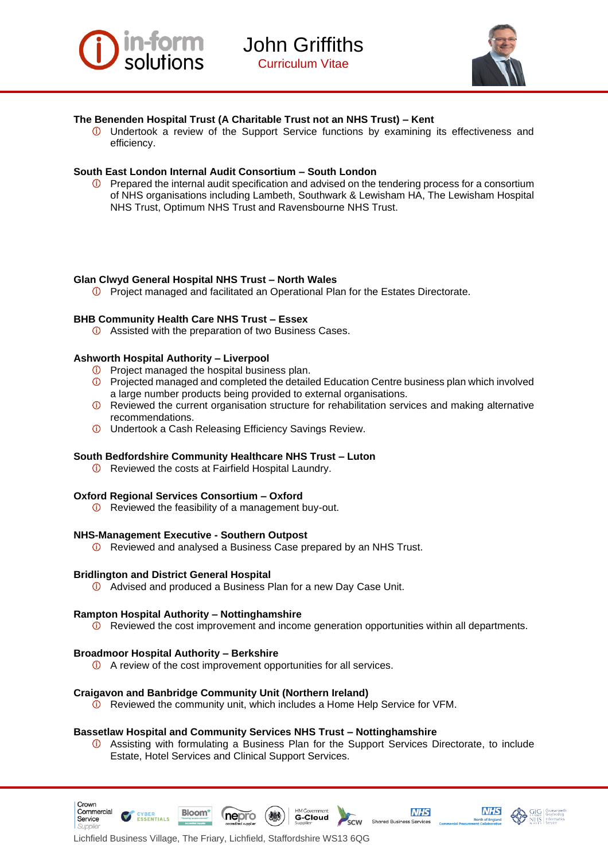



#### **The Benenden Hospital Trust (A Charitable Trust not an NHS Trust) – Kent**

Undertook a review of the Support Service functions by examining its effectiveness and efficiency.

#### **South East London Internal Audit Consortium – South London**

 $\circled{1}$  Prepared the internal audit specification and advised on the tendering process for a consortium of NHS organisations including Lambeth, Southwark & Lewisham HA, The Lewisham Hospital NHS Trust, Optimum NHS Trust and Ravensbourne NHS Trust.

#### **Glan Clwyd General Hospital NHS Trust – North Wales**

**D** Project managed and facilitated an Operational Plan for the Estates Directorate.

#### **BHB Community Health Care NHS Trust – Essex**

Assisted with the preparation of two Business Cases.

#### **Ashworth Hospital Authority – Liverpool**

- $\overline{0}$  Project managed the hospital business plan.
- Projected managed and completed the detailed Education Centre business plan which involved a large number products being provided to external organisations.
- **1** Reviewed the current organisation structure for rehabilitation services and making alternative recommendations.
- Undertook a Cash Releasing Efficiency Savings Review.

#### **South Bedfordshire Community Healthcare NHS Trust – Luton**

*O* Reviewed the costs at Fairfield Hospital Laundry.

#### **Oxford Regional Services Consortium – Oxford**

*O* Reviewed the feasibility of a management buy-out.

#### **NHS-Management Executive - Southern Outpost**

Reviewed and analysed a Business Case prepared by an NHS Trust.

#### **Bridlington and District General Hospital**

Advised and produced a Business Plan for a new Day Case Unit.

#### **Rampton Hospital Authority – Nottinghamshire**

 $\circled{1}$  Reviewed the cost improvement and income generation opportunities within all departments.

#### **Broadmoor Hospital Authority – Berkshire**

Crown Commercial

Service

A review of the cost improvement opportunities for all services.

#### **Craigavon and Banbridge Community Unit (Northern Ireland)**

Reviewed the community unit, which includes a Home Help Service for VFM.

#### **Bassetlaw Hospital and Community Services NHS Trust – Nottinghamshire**

Assisting with formulating a Business Plan for the Support Services Directorate, to include  $\circledcirc$ Estate, Hotel Services and Clinical Support Services.



**NHS** 





Lichfield Business Village, The Friary, Lichfield, Staffordshire WS13 6QG

**nepro** 

**Bloom** 

**ESSENTIALS**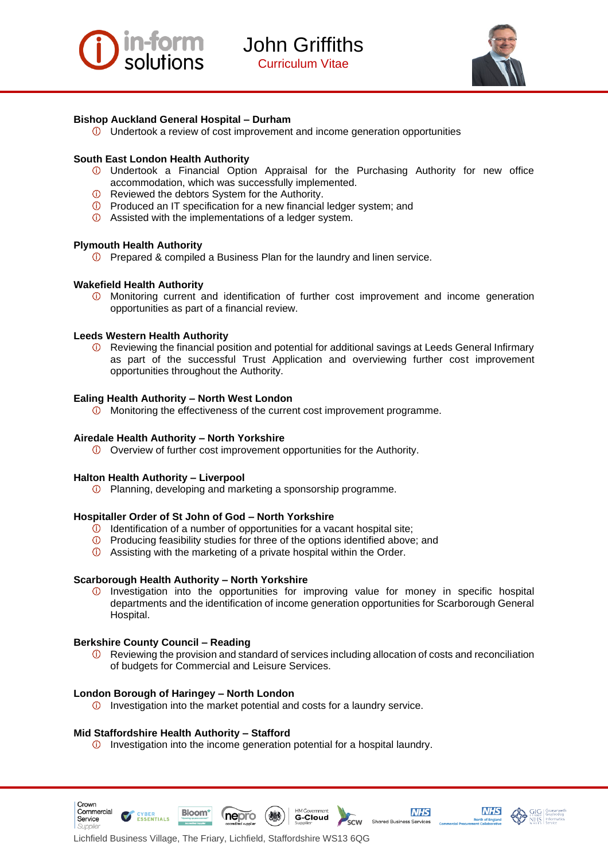



#### **Bishop Auckland General Hospital – Durham**

 $\overline{0}$  Undertook a review of cost improvement and income generation opportunities

#### **South East London Health Authority**

- Undertook a Financial Option Appraisal for the Purchasing Authority for new office accommodation, which was successfully implemented.
- Reviewed the debtors System for the Authority.
- **1** Produced an IT specification for a new financial ledger system; and
- Assisted with the implementations of a ledger system.

#### **Plymouth Health Authority**

**1** Prepared & compiled a Business Plan for the laundry and linen service.

#### **Wakefield Health Authority**

Monitoring current and identification of further cost improvement and income generation  $^{\circ}$ opportunities as part of a financial review.

#### **Leeds Western Health Authority**

 $\circled{1}$  Reviewing the financial position and potential for additional savings at Leeds General Infirmary as part of the successful Trust Application and overviewing further cost improvement opportunities throughout the Authority.

#### **Ealing Health Authority – North West London**

Monitoring the effectiveness of the current cost improvement programme.

#### **Airedale Health Authority – North Yorkshire**

Overview of further cost improvement opportunities for the Authority.

#### **Halton Health Authority – Liverpool**

Planning, developing and marketing a sponsorship programme.

#### **Hospitaller Order of St John of God – North Yorkshire**

- $\overline{0}$  Identification of a number of opportunities for a vacant hospital site;
- $\overline{0}$  Producing feasibility studies for three of the options identified above; and
- Assisting with the marketing of a private hospital within the Order.

#### **Scarborough Health Authority – North Yorkshire**

 $\circledcirc$ Investigation into the opportunities for improving value for money in specific hospital departments and the identification of income generation opportunities for Scarborough General Hospital.

#### **Berkshire County Council – Reading**

Crown Commercial

Service

Reviewing the provision and standard of services including allocation of costs and reconciliation  $\circledcirc$ of budgets for Commercial and Leisure Services.

**G-Cloud** 

.<br>scw

**NHS** 

Shared Business Services

**NHS** 

#### **London Borough of Haringey – North London**

 $\overline{10}$  Investigation into the market potential and costs for a laundry service.

#### **Mid Staffordshire Health Authority – Stafford**

**Bloom** 

**ESSENTIALS** 

Investigation into the income generation potential for a hospital laundry.

**nepro**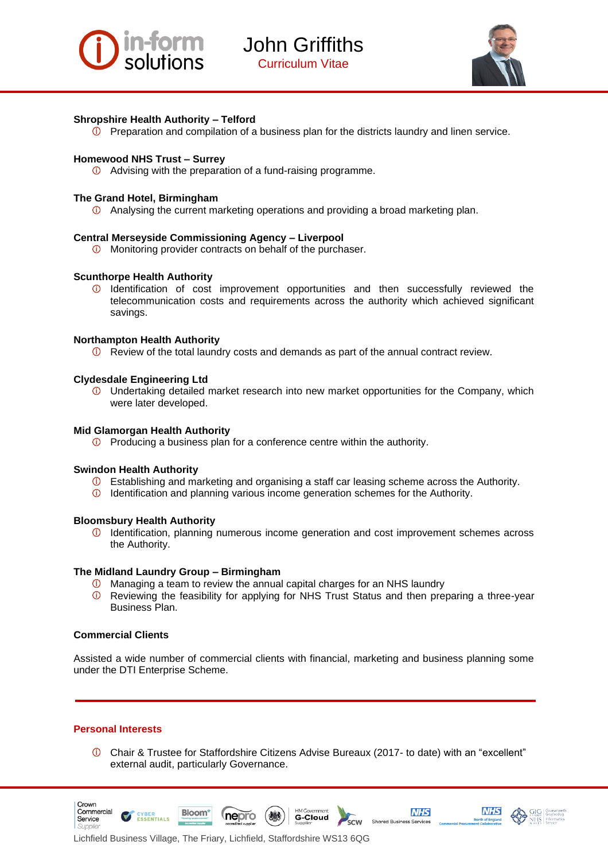



#### **Shropshire Health Authority – Telford**

 $\circled{1}$  Preparation and compilation of a business plan for the districts laundry and linen service.

#### **Homewood NHS Trust – Surrey**

Advising with the preparation of a fund-raising programme.

#### **The Grand Hotel, Birmingham**

 $\Phi$  Analysing the current marketing operations and providing a broad marketing plan.

#### **Central Merseyside Commissioning Agency – Liverpool**

**The Monitoring provider contracts on behalf of the purchaser.** 

#### **Scunthorpe Health Authority**

 $\Phi$  Identification of cost improvement opportunities and then successfully reviewed the telecommunication costs and requirements across the authority which achieved significant savings.

#### **Northampton Health Authority**

Review of the total laundry costs and demands as part of the annual contract review.

#### **Clydesdale Engineering Ltd**

Undertaking detailed market research into new market opportunities for the Company, which were later developed.

#### **Mid Glamorgan Health Authority**

 $\overline{0}$  Producing a business plan for a conference centre within the authority.

#### **Swindon Health Authority**

- Establishing and marketing and organising a staff car leasing scheme across the Authority.
- $\overline{0}$  Identification and planning various income generation schemes for the Authority.

#### **Bloomsbury Health Authority**

 $\Omega$  Identification, planning numerous income generation and cost improvement schemes across the Authority.

#### **The Midland Laundry Group – Birmingham**

- Managing a team to review the annual capital charges for an NHS laundry
- $\circledcirc$ Reviewing the feasibility for applying for NHS Trust Status and then preparing a three-year Business Plan.

#### **Commercial Clients**

Assisted a wide number of commercial clients with financial, marketing and business planning some under the DTI Enterprise Scheme.

#### **Personal Interests**

Crown

Service

Chair & Trustee for Staffordshire Citizens Advise Bureaux (2017- to date) with an "excellent" external audit, particularly Governance.





Lichfield Business Village, The Friary, Lichfield, Staffordshire WS13 6QG